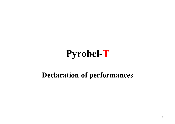### **Pyrobel-T**

### **Declaration of performances**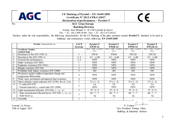

CE

We **AGC Glass Europe** 

 **Building Division** 

Avenue Jean Monnet 4 - B 1348 Louvain-la-Neuve

Tel.:  $+32 - (0) 2 409.30.00 - Fax: +32 - (0) 2 672.44.62$ 

Declare, under his sole responsibility, the following characteristics for the CE Marking of the glass products named **Pyrobel-T**, intended to be used in buildings and construction works, following **EN 14449:2005** 

|                | Pyrobel characteristics in:                                                  | <b>AVCP</b>    | Pyrobel-T             | Pyrobel-T             | Pyrobel-T             | Pyrobel-T             |
|----------------|------------------------------------------------------------------------------|----------------|-----------------------|-----------------------|-----------------------|-----------------------|
|                |                                                                              | <b>Systems</b> | EW30-16               | <b>EW60-16</b>        | <b>EW90-16</b>        | EW120-16              |
|                | <b>Certificate Number:</b>                                                   |                | $2812 - CPR - CA5037$ | $2812 - CPR - CA5037$ | $2812 - CPR - CA5037$ | $2812 - CPR - CA5037$ |
|                | <b>Notified Body:</b>                                                        |                | 2812                  | 2812                  | 2812                  | 2812                  |
|                | Resistance to fire (EN 13501-2)                                              |                | EW30                  | <b>EW60</b>           | EW120                 | <b>EW120</b>          |
|                | Reaction to fire (EN 13501-1)                                                | 3, 4           | $A2 - s1, d0$         | $A2 - s1, d0$         | $A2 - s1, d0$         | $A2 - s1, d0$         |
| 3 <sub>1</sub> | External fire performances                                                   | 3, 4           | <b>NPD</b>            | <b>NPD</b>            | <b>NPD</b>            | <b>NPD</b>            |
| 4.             | Bullet resistance (EN 1063)                                                  |                | <b>NPD</b>            | <b>NPD</b>            | <b>NPD</b>            | <b>NPD</b>            |
| 5.             | Explosion resistance (EN 13541)                                              |                | <b>NPD</b>            | <b>NPD</b>            | <b>NPD</b>            | <b>NPD</b>            |
| 6.             | Burglar resistance (EN 356)                                                  |                | <b>NPD</b>            | <b>NPD</b>            | <b>NPD</b>            | <b>NPD</b>            |
| 7.             | Pendulum body impact resistance (EN 12600)                                   | ∍              | 1B1                   | 1B1                   | 1B1                   | 1B1                   |
| 8.             | Resistance against sudden temperature change and                             | 4              | <b>NPD</b>            | <b>NPD</b>            | <b>NPD</b>            | <b>NPD</b>            |
|                | temperature differentials                                                    |                |                       |                       |                       |                       |
| 9.             | Wind, snow, permanent and imposed load resistance                            | 4              | <b>NPD</b>            | <b>NPD</b>            | <b>NPD</b>            | <b>NPD</b>            |
| 10.            | Direct airborne sound reduction (EN 12758): Rw (C, Ctr)                      | 3              | $37(-1; -2)$          | $37(-1; -2)$          | $37(-1; -2)$          | $37(-1; -2)$          |
| 11.            | $-$ U-value (EN 673)                                                         |                | 5,4                   | 5,4                   | 5,4                   | 5,4                   |
|                | - Normal emissivity $\varepsilon_n$ coated side (EN 12898)                   | $\mathcal{F}$  | <b>NPD</b>            | <b>NPD</b>            | <b>NPD</b>            | <b>NPD</b>            |
| 12.            | Light transmission/reflection (EN 410): $\tau_{v}$ / $\rho_{v}$ / $\rho_{v}$ | 3              | 87/8/8                | 87/8/8                | 87/8/8                | 87/8/8                |
| 13.            | - Solar transmission/reflection/factor (EN 410): $\tau_e / \rho_e / \rho_e$  | 3              | 68/7/7                | 68/7/7                | 68/7/7                | $68/7/\overline{7}$   |
|                | - Solar factor: g                                                            |                | 70                    | 70                    | 70                    | 70                    |
| 14.            | Durability                                                                   | 3              |                       |                       |                       |                       |

Louvain La Neuve E. Ceriani Curclei

19th of August 2021 Vice President Primary Glass Building & Industrial division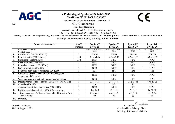

# CE

We **AGC Glass Europe** 

 **Building Division** 

Avenue Jean Monnet 4 - B 1348 Louvain-la-Neuve

Tel.:  $+32 - (0) 2 409.30.00 - Fax: +32 - (0) 2 672.44.62$ 

Declare, under his sole responsibility, the following characteristics for the CE Marking of the glass products named **Pyrobel-T**, intended to be used in buildings and construction works, following **EN 14449:2005** 

|                  | Pyrobel characteristics in:                                                  | <b>AVCP</b>    | Pyrobel-T             | <b>Pyrobel-T</b>      | Pyrobel-T             | Pyrobel-T             |
|------------------|------------------------------------------------------------------------------|----------------|-----------------------|-----------------------|-----------------------|-----------------------|
|                  |                                                                              | <b>Systems</b> | <b>EW30-20</b>        | <b>EW60-20</b>        | <b>EW90-20</b>        | EW120-20              |
|                  | <b>Certificate Number:</b>                                                   |                | $2812 - CPR - CA5037$ | $2812 - CPR - CA5037$ | $2812 - CPR - CA5037$ | $2812 - CPR - CA5037$ |
|                  | <b>Notified Body:</b>                                                        |                | 2812                  | 2812                  | 2812                  | 2812                  |
|                  | Resistance to fire (EN 13501-2)                                              |                | EW30                  | <b>EW60</b>           | EW120                 | EW120                 |
|                  | Reaction to fire (EN 13501-1)                                                | 3, 4           | $A2 - s1, d0$         | $A2 - s1, d0$         | $A2 - s1, d0$         | $A2 - s1, d0$         |
| 3 <sub>1</sub>   | External fire performances                                                   | 3, 4           | <b>NPD</b>            | <b>NPD</b>            | <b>NPD</b>            | <b>NPD</b>            |
| 4.               | Bullet resistance (EN 1063)                                                  |                | <b>NPD</b>            | <b>NPD</b>            | <b>NPD</b>            | <b>NPD</b>            |
| 5.               | Explosion resistance (EN 13541)                                              |                | <b>NPD</b>            | <b>NPD</b>            | <b>NPD</b>            | <b>NPD</b>            |
| 6.               | Burglar resistance (EN 356)                                                  | 3              | <b>NPD</b>            | <b>NPD</b>            | <b>NPD</b>            | <b>NPD</b>            |
|                  | Pendulum body impact resistance (EN 12600)                                   |                | 1B1                   | 1B1                   | 1B1                   | 1B1                   |
| $\overline{8}$ . | Resistance against sudden temperature change and                             | 4              | <b>NPD</b>            | <b>NPD</b>            | <b>NPD</b>            | <b>NPD</b>            |
|                  | temperature differentials                                                    |                |                       |                       |                       |                       |
| 9.               | Wind, snow, permanent and imposed load resistance                            |                | <b>NPD</b>            | <b>NPD</b>            | <b>NPD</b>            | <b>NPD</b>            |
| 10.              | Direct airborne sound reduction (EN 12758): Rw (C, Ctr)                      | 3              | $37(-1; -3)$          | $37(-1; -3)$          | $37(-1, -3)$          | $37(-1; -3)$          |
| 11.              | - U-value (EN $673$ )                                                        | 3              | 5,3                   | 5,3                   | 5,3                   | 5,3                   |
|                  | - Normal emissivity $\varepsilon_n$ coated side (EN 12898)                   |                | <b>NPD</b>            | <b>NPD</b>            | <b>NPD</b>            | <b>NPD</b>            |
| 12.              | Light transmission/reflection (EN 410): $\tau_{v}$ / $\rho_{v}$ / $\rho_{v}$ | 3              | 86/8/8                | 86/8/8                | 86/8/8                | 86/8/8                |
| 13.              | - Solar transmission/reflection/factor (EN 410): $\tau_e / \rho_e / \rho'_e$ | 3              | 65/6/6                | 65/6/6                | 65/6/6                | 65/6/6                |
|                  | - Solar factor: g                                                            |                | 72                    | 72                    | 72                    | 72                    |
| 14.              | Durability                                                                   | 3              |                       |                       |                       |                       |

Louvain La Neuve<br>E. Ceriani Crocoletin

19th of August 2021 Vice President Primary Glass Building & Industrial division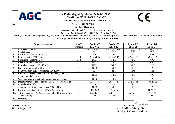

## CE

We **AGC Glass Europe** 

 **Building Division** 

Avenue Jean Monnet 4 - B 1348 Louvain-la-Neuve

Tel.:  $+32 - (0) 2 409.30.00 - Fax: +32 - (0) 2 672.44.62$ 

Declare, under his sole responsibility, the following characteristics for the CE Marking of the glass products named **Pyrobel-T**, intended to be used in buildings and construction works, following **EN 14449:2005** 

|                  | Pyrobel characteristics in:                                                  | <b>AVCP</b><br>Pyrobel-T |                       | <b>Pyrobel-T</b>      | Pyrobel-T             | Pyrobel-T             |
|------------------|------------------------------------------------------------------------------|--------------------------|-----------------------|-----------------------|-----------------------|-----------------------|
|                  |                                                                              | <b>Systems</b>           | EI 30-18              | EI 30-22              | EI 60-28              | EI 60-34              |
|                  | <b>Certificate Number:</b>                                                   |                          | $2812 - CPR - CA5037$ | $2812 - CPR - CA5037$ | $2812 - CPR - CA5037$ | $2812 - CPR - CA5037$ |
|                  | <b>Notified Body:</b>                                                        |                          | 2812                  | 2812                  | 2812                  | 2812                  |
|                  | Resistance to fire (EN 13501-2)                                              |                          | <b>EI30</b>           | <b>EI30</b>           | EI60                  | EI60                  |
|                  | Reaction to fire (EN 13501-1)                                                | 3, 4                     | $A2 - s1, d0$         | $A2 - s1, d0$         | $A2 - s1, d0$         | $A2 - s1, d0$         |
| 3 <sub>1</sub>   | External fire performances                                                   | 3, 4                     | <b>NPD</b>            | <b>NPD</b>            | <b>NPD</b>            | <b>NPD</b>            |
| 4.               | Bullet resistance (EN 1063)                                                  |                          | <b>NPD</b>            | <b>NPD</b>            | <b>NPD</b>            | <b>NPD</b>            |
| 5.               | Explosion resistance (EN 13541)                                              |                          | <b>NPD</b>            | <b>NPD</b>            | <b>NPD</b>            | <b>NPD</b>            |
| 6.               | Burglar resistance (EN 356)                                                  | 3                        | <b>NPD</b>            | <b>NPD</b>            | <b>NPD</b>            | <b>NPD</b>            |
|                  | Pendulum body impact resistance (EN 12600)                                   |                          | 1B1                   | 1B1                   | 1B1                   | 1B1                   |
| $\overline{8}$ . | Resistance against sudden temperature change and                             | 4                        | <b>NPD</b>            | <b>NPD</b>            | <b>NPD</b>            | <b>NPD</b>            |
|                  | temperature differentials                                                    |                          |                       |                       |                       |                       |
| 9.               | Wind, snow, permanent and imposed load resistance                            | 4                        | <b>NPD</b>            | <b>NPD</b>            | <b>NPD</b>            | <b>NPD</b>            |
| 10.              | Direct airborne sound reduction (EN 12758): $Rw(C, Ctr)$                     | 3                        | $39(-1; -2)$          | $39(-1; -2)$          | $37(-1; -3)$          | $37(-1; -3)$          |
| 11.              | - U-value (EN $673$ )                                                        | 3                        | 5,3                   | 5,1                   | 5,3                   | 5,3                   |
|                  | - Normal emissivity $\varepsilon_n$ coated side (EN 12898)                   |                          | <b>NPD</b>            | <b>NPD</b>            | <b>NPD</b>            | <b>NPD</b>            |
| 12.              | Light transmission/reflection (EN 410): $\tau_{v}$ / $\rho_{v}$ / $\rho_{v}$ | 3                        | 87/9/9                | 86/9/9                | 84/9/9                | 80/7/7                |
| 13.              | - Solar transmission/reflection/factor (EN 410): $\tau_e / \rho_e / \rho'_e$ | 3                        | 66/8/8                | 63/8/8                | 59/7/7                | 56/7/7                |
|                  | - Solar factor: g                                                            |                          | 72                    | 74                    | 67                    | 69                    |
| 14.              | Durability                                                                   | 3                        |                       |                       |                       |                       |

Louvain La Neuve<br>E. Ceriani Crocoletin

19th of August 2021 Vice President Primary Glass Building & Industrial division